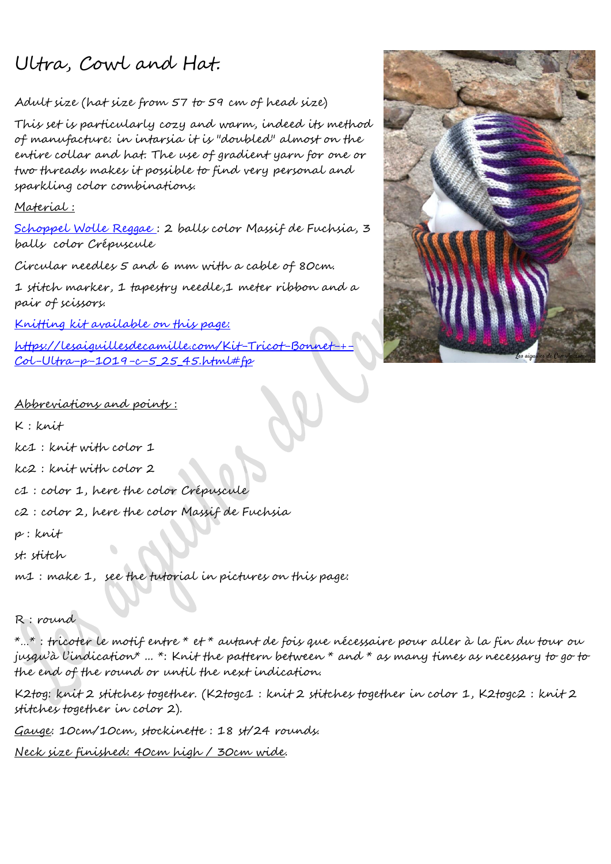# Ultra, Cowl and Hat.

### Adult size (hat size from 57 to 59 cm of head size)

This set is particularly cozy and warm, indeed its method of manufacture: in intarsia it is "doubled" almost on the entire collar and hat. The use of gradient yarn for one or two threads makes it possible to find very personal and sparkling color combinations.

#### Material :

[Schoppel Wolle Reggae](https://lesaiguillesdecamille.com/Reggae-Ombree-c-5_25_45.html) : 2 balls color Massif de Fuchsia, 3 balls color Crépuscule

Circular needles 5 and 6 mm with a cable of 80cm.

1 stitch marker, 1 tapestry needle,1 meter ribbon and a pair of scissors.

[Knitting kit available on this page:](https://lesaiguillesdecamille.com/Kit-Tricot-Bonnet-+-Col-Ultra-p-1019-c-5_25_45.html#fp)

https://lesaiguillesdecamille.com/Kit-Tricot-Bonn [Col-Ultra-p-1019-c-5\\_25\\_45.html#fp](https://lesaiguillesdecamille.com/Kit-Tricot-Bonnet-+-Col-Ultra-p-1019-c-5_25_45.html%23fp)



#### Abbreviations and points :

- K : knit
- kc1 : knit with color 1
- kc2 : knit with color 2
- c1 : color 1, here the color Crépuscule
- c2 : color 2, here the color Massif de Fuchsia
- p : knit
- st: stitch
- m1 : make 1, see the tutorial in pictures on this page:

## R : round

 $\hat{a}$  ... $\hat{a}$  : tricoter le motif entre  $\hat{a}$  et  $\hat{a}$  autant de foix que nécessaire pour aller à la fin du tour ou jusqu'à l'indication\* ... \*: Knit the pattern between \* and \* as many times as necessary to go to the end of the round or until the next indication.

K2tog: knit 2 stitches together. (K2togc1 : knit 2 stitches together in color 1, K2togc2 : knit 2 stitches together in color 2).

Gauge: 10cm/10cm, stockinette : 18 st/24 rounds.

Neck size finished: 40cm high / 30cm wide.